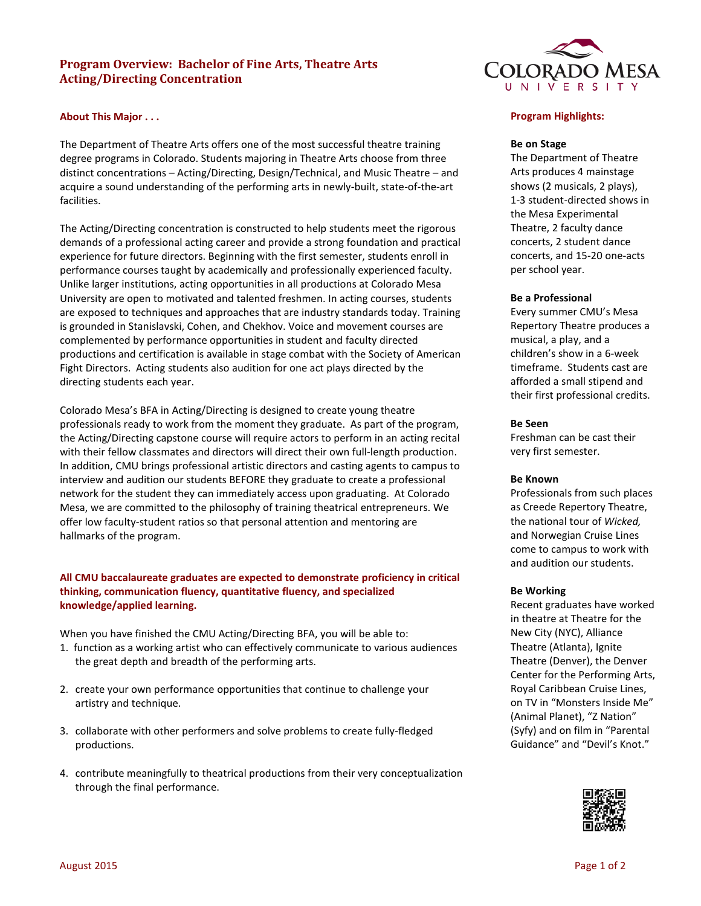# **Program Overview: Bachelor of Fine Arts, Theatre Arts Acting/Directing Concentration**

### **About This Major . . .**

The Department of Theatre Arts offers one of the most successful theatre training degree programs in Colorado. Students majoring in Theatre Arts choose from three distinct concentrations – Acting/Directing, Design/Technical, and Music Theatre – and acquire a sound understanding of the performing arts in newly-built, state-of-the-art facilities.

The Acting/Directing concentration is constructed to help students meet the rigorous demands of a professional acting career and provide a strong foundation and practical experience for future directors. Beginning with the first semester, students enroll in performance courses taught by academically and professionally experienced faculty. Unlike larger institutions, acting opportunities in all productions at Colorado Mesa University are open to motivated and talented freshmen. In acting courses, students are exposed to techniques and approaches that are industry standards today. Training is grounded in Stanislavski, Cohen, and Chekhov. Voice and movement courses are complemented by performance opportunities in student and faculty directed productions and certification is available in stage combat with the Society of American Fight Directors. Acting students also audition for one act plays directed by the directing students each year.

Colorado Mesa's BFA in Acting/Directing is designed to create young theatre professionals ready to work from the moment they graduate. As part of the program, the Acting/Directing capstone course will require actors to perform in an acting recital with their fellow classmates and directors will direct their own full-length production. In addition, CMU brings professional artistic directors and casting agents to campus to interview and audition our students BEFORE they graduate to create a professional network for the student they can immediately access upon graduating. At Colorado Mesa, we are committed to the philosophy of training theatrical entrepreneurs. We offer low faculty-student ratios so that personal attention and mentoring are hallmarks of the program.

### **All CMU baccalaureate graduates are expected to demonstrate proficiency in critical thinking, communication fluency, quantitative fluency, and specialized knowledge/applied learning.**

When you have finished the CMU Acting/Directing BFA, you will be able to:

- 1. function as a working artist who can effectively communicate to various audiences the great depth and breadth of the performing arts.
- 2. create your own performance opportunities that continue to challenge your artistry and technique.
- 3. collaborate with other performers and solve problems to create fully-fledged productions.
- 4. contribute meaningfully to theatrical productions from their very conceptualization through the final performance.



### **Program Highlights:**

#### **Be on Stage**

The Department of Theatre Arts produces 4 mainstage shows (2 musicals, 2 plays), 1-3 student-directed shows in the Mesa Experimental Theatre, 2 faculty dance concerts, 2 student dance concerts, and 15-20 one-acts per school year.

#### **Be a Professional**

Every summer CMU's Mesa Repertory Theatre produces a musical, a play, and a children's show in a 6-week timeframe. Students cast are afforded a small stipend and their first professional credits.

#### **Be Seen**

Freshman can be cast their very first semester.

#### **Be Known**

Professionals from such places as Creede Repertory Theatre, the national tour of *Wicked,*  and Norwegian Cruise Lines come to campus to work with and audition our students.

#### **Be Working**

Recent graduates have worked in theatre at Theatre for the New City (NYC), Alliance Theatre (Atlanta), Ignite Theatre (Denver), the Denver Center for the Performing Arts, Royal Caribbean Cruise Lines, on TV in "Monsters Inside Me" (Animal Planet), "Z Nation" (Syfy) and on film in "Parental Guidance" and "Devil's Knot."